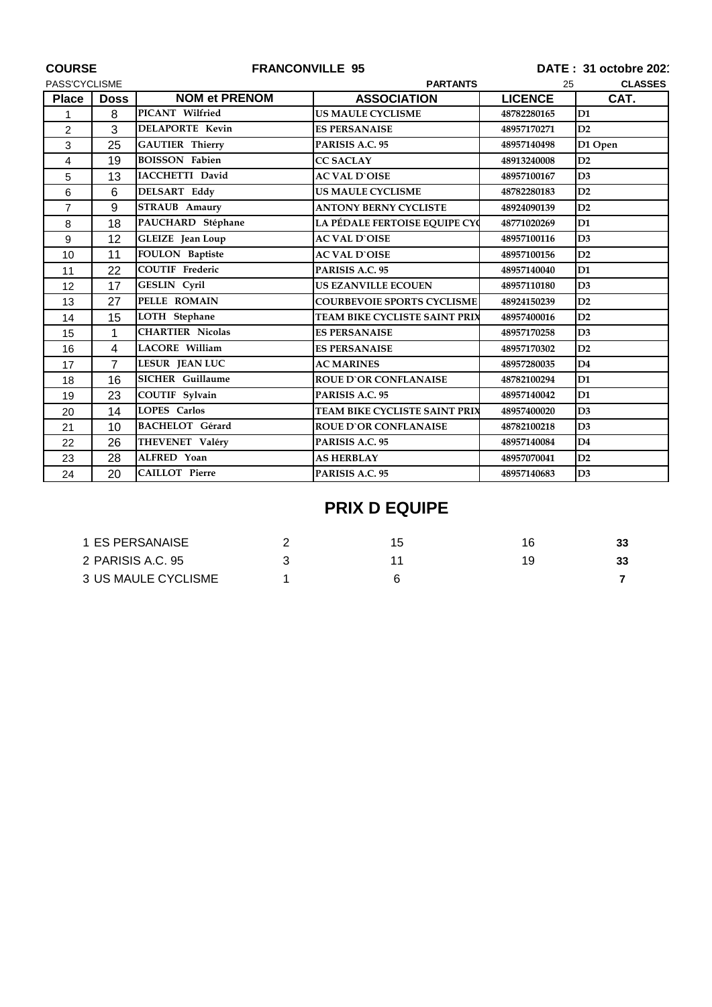| <b>COURSE</b>  |                | <b>FRANCONVILLE 95</b>  |                                      | DATE: 31 octobre 202 |                |  |
|----------------|----------------|-------------------------|--------------------------------------|----------------------|----------------|--|
| PASS'CYCLISME  |                | <b>PARTANTS</b>         |                                      | <b>CLASSES</b><br>25 |                |  |
| <b>Place</b>   | <b>Doss</b>    | <b>NOM et PRENOM</b>    | <b>ASSOCIATION</b>                   | <b>LICENCE</b>       | CAT.           |  |
| 1              | 8              | PICANT Wilfried         | <b>US MAULE CYCLISME</b>             | 48782280165          | D <sub>1</sub> |  |
| $\overline{2}$ | 3              | <b>DELAPORTE Kevin</b>  | <b>ES PERSANAISE</b>                 | 48957170271          | D2             |  |
| 3              | 25             | <b>GAUTIER Thierry</b>  | PARISIS A.C. 95                      | 48957140498          | D1 Open        |  |
| 4              | 19             | <b>BOISSON Fabien</b>   | <b>CC SACLAY</b>                     | 48913240008          | D2             |  |
| 5              | 13             | <b>IACCHETTI David</b>  | <b>AC VAL D'OISE</b>                 | 48957100167          | D3             |  |
| 6              | 6              | <b>DELSART Eddy</b>     | <b>US MAULE CYCLISME</b>             | 48782280183          | D2             |  |
| $\overline{7}$ | 9              | <b>STRAUB</b> Amaury    | <b>ANTONY BERNY CYCLISTE</b>         | 48924090139          | D2             |  |
| 8              | 18             | PAUCHARD Stéphane       | LA PÉDALE FERTOISE EQUIPE CYC        | 48771020269          | D1             |  |
| 9              | 12             | <b>GLEIZE</b> Jean Loup | <b>AC VAL D'OISE</b>                 | 48957100116          | D3             |  |
| 10             | 11             | <b>FOULON</b> Baptiste  | <b>AC VAL D'OISE</b>                 | 48957100156          | D2             |  |
| 11             | 22             | <b>COUTIF</b> Frederic  | PARISIS A.C. 95                      | 48957140040          | D1             |  |
| 12             | 17             | GESLIN Cyril            | <b>US EZANVILLE ECOUEN</b>           | 48957110180          | D3             |  |
| 13             | 27             | PELLE ROMAIN            | <b>COURBEVOIE SPORTS CYCLISME</b>    | 48924150239          | D2             |  |
| 14             | 15             | LOTH Stephane           | <b>TEAM BIKE CYCLISTE SAINT PRIX</b> | 48957400016          | D2             |  |
| 15             | 1              | <b>CHARTIER Nicolas</b> | <b>ES PERSANAISE</b>                 | 48957170258          | D3             |  |
| 16             | 4              | <b>LACORE William</b>   | <b>ES PERSANAISE</b>                 | 48957170302          | D2             |  |
| 17             | $\overline{7}$ | <b>LESUR JEAN LUC</b>   | <b>AC MARINES</b>                    | 48957280035          | D <sub>4</sub> |  |
| 18             | 16             | <b>SICHER</b> Guillaume | <b>ROUE D'OR CONFLANAISE</b>         | 48782100294          | D <sub>1</sub> |  |
| 19             | 23             | <b>COUTIF Sylvain</b>   | PARISIS A.C. 95                      | 48957140042          | D <sub>1</sub> |  |
| 20             | 14             | LOPES Carlos            | TEAM BIKE CYCLISTE SAINT PRIX        | 48957400020          | D3             |  |
| 21             | 10             | <b>BACHELOT</b> Gérard  | <b>ROUE D'OR CONFLANAISE</b>         | 48782100218          | D3             |  |
| 22             | 26             | THEVENET Valéry         | PARISIS A.C. 95                      | 48957140084          | $\mathbf{D4}$  |  |
| 23             | 28             | ALFRED Yoan             | <b>AS HERBLAY</b>                    | 48957070041          | D <sub>2</sub> |  |
| 24             | 20             | CAILLOT Pierre          | PARISIS A.C. 95                      | 48957140683          | D3             |  |

## **PRIX D EQUIPE**

| 1 ES PERSANAISE     |  |    | 33 |
|---------------------|--|----|----|
| 2 PARISIS A.C. 95   |  | 19 | 33 |
| 3 US MAULE CYCLISME |  |    |    |